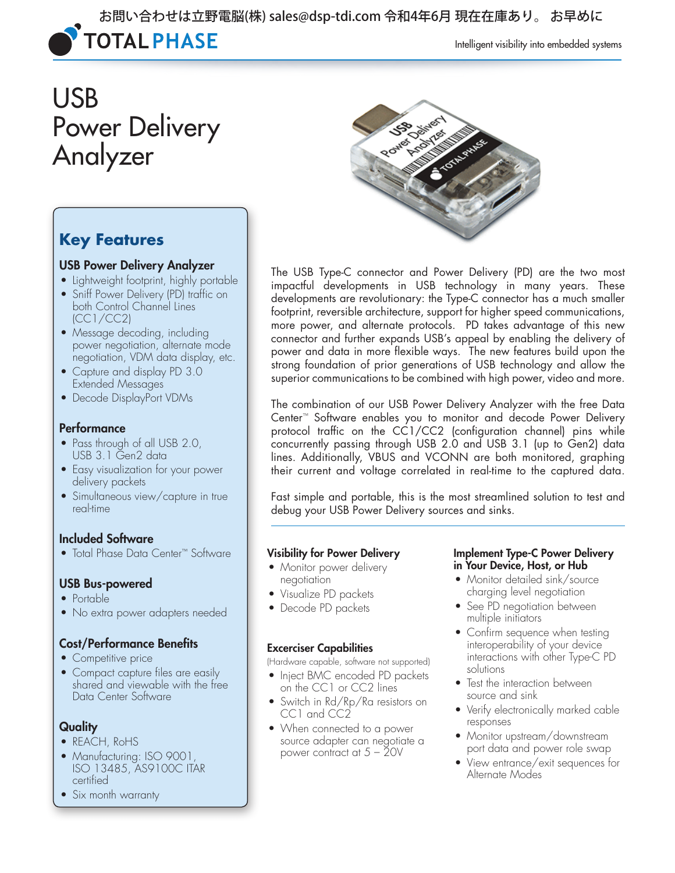

Intelligent visibility into embedded systems

# USB Power Delivery Analyzer



### **Key Features**

#### USB Power Delivery Analyzer

- Lightweight footprint, highly portable
- Sniff Power Delivery (PD) traffic on both Control Channel Lines (CC1/CC2)
- Message decoding, including power negotiation, alternate mode negotiation, VDM data display, etc.
- Capture and display PD 3.0 Extended Messages
- Decode DisplayPort VDMs

#### **Performance**

- Pass through of all USB 2.0, USB 3.1 Gen2 data
- Easy visualization for your power delivery packets
- Simultaneous view/capture in true real-time

### Included Software

• Total Phase Data Center™ Software

#### USB Bus-powered

- Portable
- No extra power adapters needed

#### Cost/Performance Benefits

- Competitive price
- Compact capture files are easily shared and viewable with the free Data Center Software

### **Quality**

- REACH, RoHS
- Manufacturing: ISO 9001, ISO 13485, AS9100C ITAR certified
- Six month warranty

The USB Type-C connector and Power Delivery (PD) are the two most impactful developments in USB technology in many years. These developments are revolutionary: the Type-C connector has a much smaller footprint, reversible architecture, support for higher speed communications, more power, and alternate protocols. PD takes advantage of this new connector and further expands USB's appeal by enabling the delivery of power and data in more flexible ways. The new features build upon the strong foundation of prior generations of USB technology and allow the superior communications to be combined with high power, video and more.

The combination of our USB Power Delivery Analyzer with the free Data Center™ Software enables you to monitor and decode Power Delivery protocol traffic on the CC1/CC2 (configuration channel) pins while concurrently passing through USB 2.0 and USB 3.1 (up to Gen2) data lines. Additionally, VBUS and VCONN are both monitored, graphing their current and voltage correlated in real-time to the captured data.

Fast simple and portable, this is the most streamlined solution to test and debug your USB Power Delivery sources and sinks.

#### Visibility for Power Delivery

- Monitor power delivery negotiation
- Visualize PD packets
- Decode PD packets

#### Excerciser Capabilities

(Hardware capable, software not supported)

- Inject BMC encoded PD packets on the CC1 or CC2 lines
- Switch in Rd/Rp/Ra resistors on CC1 and CC2
- When connected to a power source adapter can negotiate a power contract at 5 – 20V

#### Implement Type-C Power Delivery in Your Device, Host, or Hub

- Monitor detailed sink/source charging level negotiation
- See PD negotiation between multiple initiators
- Confirm sequence when testing interoperability of your device interactions with other Type-C PD solutions
- Test the interaction between source and sink
- Verify electronically marked cable responses
- Monitor upstream/downstream port data and power role swap
- View entrance/exit sequences for Alternate Modes